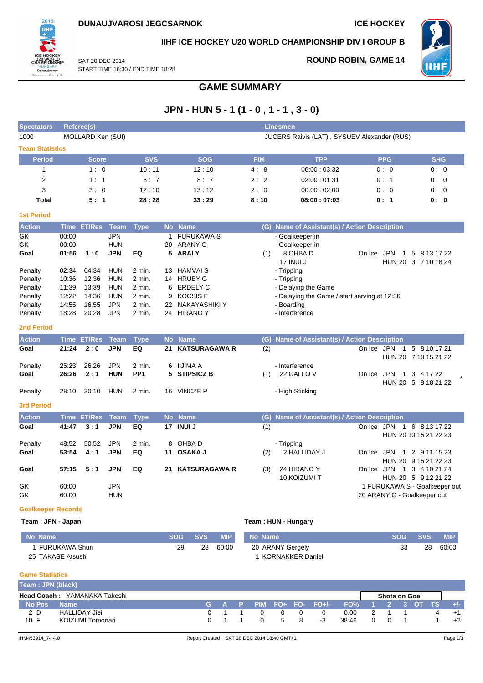**ROUND ROBIN, GAME 14**



**IIHF ICE HOCKEY U20 WORLD CHAMPIONSHIP DIV I GROUP B**

**WHF** 

SAT 20 DEC 2014 START TIME 16:30 / END TIME 18:28

## **GAME SUMMARY**

# **JPN - HUN 5 - 1 (1 - 0 , 1 - 1 , 3 - 0)**

| <b>Spectators</b>         | Referee(s)  |                   |             | <b>Linesmen</b> |                                             |                      |            |                                               |            |                                |  |  |  |
|---------------------------|-------------|-------------------|-------------|-----------------|---------------------------------------------|----------------------|------------|-----------------------------------------------|------------|--------------------------------|--|--|--|
| 1000                      |             | MOLLARD Ken (SUI) |             |                 | JUCERS Raivis (LAT), SYSUEV Alexander (RUS) |                      |            |                                               |            |                                |  |  |  |
| <b>Team Statistics</b>    |             |                   |             |                 |                                             |                      |            |                                               |            |                                |  |  |  |
| <b>Period</b>             |             | <b>Score</b>      |             | <b>SVS</b>      |                                             | <b>SOG</b>           | <b>PIM</b> | <b>TPP</b>                                    | <b>PPG</b> | <b>SHG</b>                     |  |  |  |
| $\mathbf{1}$              |             | 1:0               |             | 10:11           |                                             | 12:10                | 4:8        | 06:00:03:32                                   | 0:0        | 0:0                            |  |  |  |
| 2                         |             | 1:1               |             | 6:7             |                                             | 8:7                  | 2:2        | 02:00:01:31                                   | 0:1        | 0:0                            |  |  |  |
| 3                         |             | 3:0               |             | 12:10           |                                             | 13:12                | 2:0        | 00:00:02:00                                   | 0:0        | 0:0                            |  |  |  |
| <b>Total</b>              |             | 5:1               |             | 28:28           |                                             | 33:29                | 8:10       | 08:00:07:03                                   | 0:1        | 0:0                            |  |  |  |
| <b>1st Period</b>         |             |                   |             |                 |                                             |                      |            |                                               |            |                                |  |  |  |
| <b>Action</b>             | <b>Time</b> | <b>ET/Res</b>     | <b>Team</b> | <b>Type</b>     |                                             | No Name              |            | (G) Name of Assistant(s) / Action Description |            |                                |  |  |  |
| GK                        | 00:00       |                   | <b>JPN</b>  |                 | 1                                           | <b>FURUKAWA S</b>    |            | - Goalkeeper in                               |            |                                |  |  |  |
| GK                        | 00:00       |                   | <b>HUN</b>  |                 | 20                                          | ARANY G              |            | - Goalkeeper in                               |            |                                |  |  |  |
| Goal                      | 01:56       | 1:0               | <b>JPN</b>  | EQ              |                                             | 5 ARAIY              | (1)        | 8 OHBA D                                      | On Ice JPN | 1 5 8 13 17 22                 |  |  |  |
|                           |             |                   |             |                 |                                             |                      |            | 17 INUI J                                     |            | HUN 20 3 7 10 18 24            |  |  |  |
| Penalty                   | 02:34       | 04:34             | <b>HUN</b>  | 2 min.          | 13                                          | <b>HAMVAIS</b>       |            | - Tripping                                    |            |                                |  |  |  |
| Penalty                   | 10:36       | 12:36             | <b>HUN</b>  | 2 min.          |                                             | 14 HRUBY G           |            | - Tripping                                    |            |                                |  |  |  |
| Penalty                   | 11:39       | 13:39             | <b>HUN</b>  | 2 min.          | 6                                           | <b>ERDELY C</b>      |            | - Delaying the Game                           |            |                                |  |  |  |
| Penalty                   | 12:22       | 14:36             | <b>HUN</b>  | 2 min.          | 9                                           | <b>KOCSISF</b>       |            | - Delaying the Game / start serving at 12:36  |            |                                |  |  |  |
| Penalty                   | 14:55       | 16:55             | <b>JPN</b>  | 2 min.          | 22                                          | <b>NAKAYASHIKI Y</b> |            | - Boarding                                    |            |                                |  |  |  |
| Penalty                   | 18:28       | 20:28             | <b>JPN</b>  | 2 min.          | 24                                          | <b>HIRANO Y</b>      |            | - Interference                                |            |                                |  |  |  |
| <b>2nd Period</b>         |             |                   |             |                 |                                             |                      |            |                                               |            |                                |  |  |  |
| <b>Action</b>             | <b>Time</b> | <b>ET/Res</b>     | <b>Team</b> | <b>Type</b>     | <b>No</b>                                   | <b>Name</b>          | (G)        | Name of Assistant(s) / Action Description     |            |                                |  |  |  |
| Goal                      | 21:24       | 2:0               | <b>JPN</b>  | EQ              | 21                                          | <b>KATSURAGAWA R</b> | (2)        |                                               | On Ice JPN | 5 8 10 17 21<br>$\overline{1}$ |  |  |  |
|                           |             |                   |             |                 |                                             |                      |            |                                               |            | HUN 20 7 10 15 21 22           |  |  |  |
| Penalty                   | 25:23       | 26:26             | <b>JPN</b>  | 2 min.          | 6                                           | <b>IIJIMA A</b>      |            | - Interference                                |            |                                |  |  |  |
| Goal                      | 26:26       | 2:1               | <b>HUN</b>  | PP <sub>1</sub> | 5                                           | <b>STIPSICZ B</b>    | (1)        | 22 GALLO V                                    | On Ice JPN | 3 4 17 22<br>$\mathbf{1}$      |  |  |  |
|                           |             |                   |             |                 |                                             |                      |            |                                               |            | HUN 20 5 8 18 21 22            |  |  |  |
| Penalty                   | 28:10       | 30:10             | <b>HUN</b>  | 2 min.          |                                             | 16 VINCZE P          |            | - High Sticking                               |            |                                |  |  |  |
| <b>3rd Period</b>         |             |                   |             |                 |                                             |                      |            |                                               |            |                                |  |  |  |
| <b>Action</b>             | <b>Time</b> | <b>ET/Res</b>     | <b>Team</b> | <b>Type</b>     | <b>No</b>                                   | <b>Name</b>          | (G)        | Name of Assistant(s) / Action Description     |            |                                |  |  |  |
| Goal                      | 41:47       | 3:1               | <b>JPN</b>  | EQ              |                                             | 17 INUI J            | (1)        |                                               | On Ice JPN | 1 6 8 13 17 22                 |  |  |  |
|                           |             |                   |             |                 |                                             |                      |            |                                               |            | HUN 20 10 15 21 22 23          |  |  |  |
| Penalty                   | 48:52       | 50:52             | <b>JPN</b>  | 2 min.          | 8                                           | OHBA D               |            | - Tripping                                    |            |                                |  |  |  |
| Goal                      | 53:54       | 4:1               | <b>JPN</b>  | EQ              |                                             | 11 OSAKA J           | (2)        | 2 HALLIDAY J                                  | On Ice JPN | 1 2 9 11 15 23                 |  |  |  |
|                           |             |                   |             |                 |                                             |                      |            |                                               |            | HUN 20 9 15 21 22 23           |  |  |  |
| Goal                      | 57:15       | 5:1               | <b>JPN</b>  | EQ              | 21                                          | <b>KATSURAGAWA R</b> | (3)        | 24 HIRANO Y                                   | On Ice JPN | 1 3 4 10 21 24                 |  |  |  |
|                           |             |                   |             |                 |                                             |                      |            | <b>10 KOIZUMI T</b>                           |            | HUN 20 5 9 12 21 22            |  |  |  |
| GK                        | 60:00       |                   | <b>JPN</b>  |                 |                                             |                      |            |                                               |            | 1 FURUKAWA S - Goalkeeper out  |  |  |  |
| GK                        | 60:00       |                   | <b>HUN</b>  |                 |                                             |                      |            |                                               |            | 20 ARANY G - Goalkeeper out    |  |  |  |
| <b>Goalkeeper Records</b> |             |                   |             |                 |                                             |                      |            |                                               |            |                                |  |  |  |

#### **Team : JPN - Japan Team : HUN - Hungary**

| <b>No Name</b>    | SOG | <b>SVS</b> | <b>MIP</b> | No Name                 | 'SOG.    | <b>SVS</b> | <b>MIP</b> |
|-------------------|-----|------------|------------|-------------------------|----------|------------|------------|
| FURUKAWA Shun     | 29  | 28         | 60:00      | 20 ARANY Gergely        | っっ<br>JJ | 28         | 60:00      |
| 25 TAKASE Atsushi |     |            |            | <b>KORNAKKER Daniel</b> |          |            |            |

### **Game Statistics**

| Team: JPN (black) |                                     |                                        |          |          |     |    |                                            |                   |                      |  |       |
|-------------------|-------------------------------------|----------------------------------------|----------|----------|-----|----|--------------------------------------------|-------------------|----------------------|--|-------|
|                   | <b>Head Coach: YAMANAKA Takeshi</b> |                                        |          |          |     |    |                                            |                   | <b>Shots on Goal</b> |  |       |
| No Pos            | <b>Name</b>                         |                                        |          |          |     |    | (G A P PIM FO+ FO- FO+/- FO% 1 2 3 OT TS ) |                   |                      |  | $+/-$ |
| 2 D               | HALLIDAY Jiei                       |                                        | $\Omega$ | $\Omega$ | 0   |    | 0.00                                       |                   |                      |  |       |
| 10 F              | KOIZUMI Tomonari                    | $\begin{array}{ccc} 0 & 1 \end{array}$ |          |          | 5 8 | -3 | 38.46                                      | $\Omega$ $\Omega$ |                      |  | $+2$  |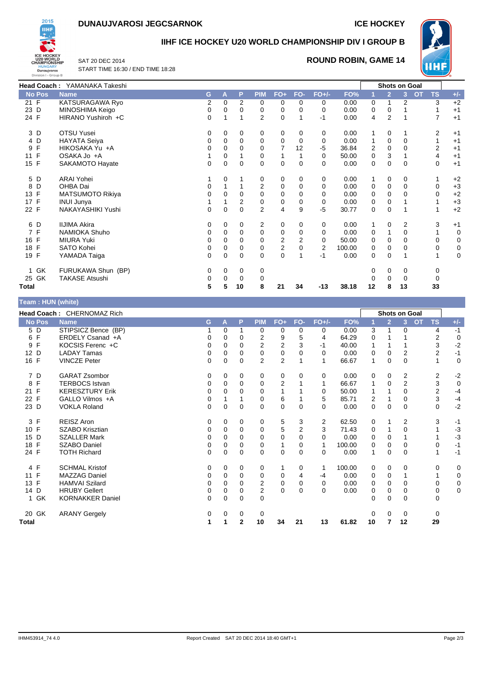## **DUNAUJVAROSI JEGCSARNOK ICE HOCKEY**



## **IIHF ICE HOCKEY U20 WORLD CHAMPIONSHIP DIV I GROUP B**

SAT 20 DEC 2014 START TIME 16:30 / END TIME 18:28

## **ROUND ROBIN, GAME 14**



| Head Coach: YAMANAKA Takeshi |                         |          |          |          |                |                         |                |          | <b>Shots on Goal</b> |             |                |          |                        |       |
|------------------------------|-------------------------|----------|----------|----------|----------------|-------------------------|----------------|----------|----------------------|-------------|----------------|----------|------------------------|-------|
| <b>No Pos</b>                | <b>Name</b>             | G        | A        | P        | <b>PIM</b>     | $FO+$                   | FO-            | $FO+/-$  | FO%                  |             | $\overline{2}$ | 3        | <b>OT</b><br><b>TS</b> | $+/-$ |
| 21 F                         | KATSURAGAWA Ryo         | 2        | 0        | 2        | 0              | 0                       | $\Omega$       | 0        | 0.00                 | 0           |                | 2        | 3                      | $+2$  |
| 23 D                         | MINOSHIMA Keigo         | 0        | 0        | 0        | 0              | 0                       | 0              | 0        | 0.00                 | 0           | 0              |          | 1                      | $+1$  |
| 24 F                         | HIRANO Yushiroh +C      | 0        |          | 1        | $\overline{2}$ | $\mathbf 0$             | 1              | -1       | 0.00                 | 4           | 2              | 1        | 7                      | $+1$  |
| 3 D                          | <b>OTSU Yusei</b>       | 0        | 0        | 0        | 0              | 0                       | 0              | 0        | 0.00                 |             | 0              | 1        | 2                      | $+1$  |
| 4 D                          | <b>HAYATA Seiva</b>     | 0        | 0        | 0        | 0              | $\mathbf 0$             | 0              | 0        | 0.00                 | 1           | 0              | 0        | 1                      | $+1$  |
| F<br>9                       | HIKOSAKA Yu +A          | 0        | 0        | 0        | 0              | $\overline{7}$          | 12             | $-5$     | 36.84                | 2           | 0              | 0        | 2                      | $+1$  |
| 11 F                         | OSAKA Jo +A             |          | 0        |          | 0              | 1                       |                | 0        | 50.00                | 0           | 3              |          | 4                      | $+1$  |
| 15 F                         | SAKAMOTO Hayate         | $\Omega$ | $\Omega$ | $\Omega$ | 0              | $\mathbf 0$             | $\Omega$       | $\Omega$ | 0.00                 | 0           | $\Omega$       | $\Omega$ | $\mathbf 0$            | $+1$  |
| 5 D                          | <b>ARAI Yohei</b>       |          | 0        |          | 0              | 0                       | 0              | 0        | 0.00                 | 1           | 0              | 0        | 1                      | $+2$  |
| D<br>8                       | OHBA Dai                | 0        |          |          | 2              | $\mathbf 0$             | 0              | 0        | 0.00                 | 0           | 0              | 0        | 0                      | $+3$  |
| 13 F                         | <b>MATSUMOTO Rikiya</b> | $\Omega$ | 0        | 0        | 0              | 0                       | 0              | 0        | 0.00                 | 0           | 0              | $\Omega$ | 0                      | $+2$  |
| 17 F                         | <b>INUI Junya</b>       |          |          | 2        | 0              | 0                       | 0              | 0        | 0.00                 | 0           | 0              |          |                        | $+3$  |
| 22 F                         | NAKAYASHIKI Yushi       | 0        | 0        | 0        | $\overline{2}$ | 4                       | 9              | $-5$     | 30.77                | $\mathbf 0$ | 0              |          | 1                      | $+2$  |
| 6 D                          | <b>IIJIMA Akira</b>     | 0        | 0        | 0        | 2              | 0                       | 0              | 0        | 0.00                 | 1           | 0              | 2        | 3                      | $+1$  |
| 7 F                          | <b>NAMIOKA Shuho</b>    | 0        | 0        | 0        | 0              | 0                       | 0              | 0        | 0.00                 | 0           |                | 0        | 1                      | 0     |
| 16 F                         | <b>MIURA Yuki</b>       | 0        | 0        | 0        | 0              | $\overline{\mathbf{c}}$ | $\overline{2}$ | 0        | 50.00                | 0           | 0              | 0        | 0                      | 0     |
| 18 F                         | <b>SATO Kohei</b>       | 0        | 0        | 0        | 0              | $\overline{\mathbf{c}}$ | 0              | 2        | 100.00               | 0           | 0              | 0        | 0                      | 0     |
| 19 F                         | YAMADA Taiga            | $\Omega$ | $\Omega$ | $\Omega$ | 0              | 0                       | 1              | $-1$     | 0.00                 | 0           | 0              | 1        | 1                      | 0     |
| GK<br>1                      | FURUKAWA Shun (BP)      | 0        | 0        | 0        | 0              |                         |                |          |                      | 0           | 0              | 0        | 0                      |       |
| 25 GK                        | <b>TAKASE Atsushi</b>   | 0        | 0        | 0        | 0              |                         |                |          |                      | 0           | 0              | 0        | 0                      |       |
| Total                        |                         | 5        | 5        | 10       | 8              | 21                      | 34             | $-13$    | 38.18                | 12          | 8              | 13       | 33                     |       |

| Team: HUN (white) |                            |          |          |              |                |                |              |                |        |    |                |                |           |           |             |
|-------------------|----------------------------|----------|----------|--------------|----------------|----------------|--------------|----------------|--------|----|----------------|----------------|-----------|-----------|-------------|
|                   | Head Coach: CHERNOMAZ Rich |          |          |              |                |                |              |                |        |    |                | Shots on Goal  |           |           |             |
| <b>No Pos</b>     | <b>Name</b>                | G        | A        | P            | <b>PIM</b>     | $FO+$          | FO-          | $FO+/-$        | FO%    |    | $\overline{2}$ | 3 <sup>1</sup> | <b>OT</b> | <b>TS</b> | $+/-$       |
| 5 D               | STIPSICZ Bence (BP)        |          | 0        | 1            | 0              | 0              | 0            | 0              | 0.00   | 3  | 1              | 0              |           | 4         | $-1$        |
| 6 F               | ERDELY Csanad +A           | 0        | 0        | $\Omega$     | 2              | 9              | 5            | 4              | 64.29  | 0  |                |                |           | 2         | $\mathbf 0$ |
| F<br>9            | KOCSIS Ferenc +C           | 0        | 0        | $\Omega$     | $\overline{2}$ | $\overline{2}$ | 3            | -1             | 40.00  | 1  |                |                |           | 3         | $-2$        |
| 12<br>D           | <b>LADAY Tamas</b>         | 0        | 0        | 0            | 0              | 0              | 0            | $\Omega$       | 0.00   | 0  | 0              | $\overline{2}$ |           | 2         | $-1$        |
| 16 F              | <b>VINCZE Peter</b>        | $\Omega$ | $\Omega$ | $\Omega$     | $\overline{2}$ | $\overline{2}$ |              | 1              | 66.67  | 1  | 0              | $\Omega$       |           | 1         | $\mathbf 0$ |
| 7 D               | <b>GARAT Zsombor</b>       | 0        | 0        | 0            | 0              | 0              | 0            | 0              | 0.00   | 0  | 0              | 2              |           | 2         | $-2$        |
| F<br>8            | <b>TERBOCS Istvan</b>      | 0        | 0        | $\Omega$     | 0              | $\overline{2}$ |              | 1              | 66.67  |    | 0              | $\overline{2}$ |           | 3         | $\mathbf 0$ |
| 21 F              | <b>KERESZTURY Erik</b>     | $\Omega$ | $\Omega$ | $\Omega$     | 0              |                |              | 0              | 50.00  |    | 1              | $\Omega$       |           | 2         | $-4$        |
| 22 F              | GALLO Vilmos +A            | 0        |          |              | 0              | 6              |              | 5              | 85.71  | 2  |                | 0              |           | 3         | $-4$        |
| 23 D              | <b>VOKLA Roland</b>        | $\Omega$ | $\Omega$ | $\mathbf{0}$ | $\Omega$       | $\mathbf 0$    | $\mathbf{0}$ | $\Omega$       | 0.00   | 0  | $\Omega$       | $\Omega$       |           | 0         | $-2$        |
| F<br>3            | <b>REISZ Aron</b>          | 0        | 0        | $\Omega$     | 0              | 5              | 3            | $\overline{2}$ | 62.50  | 0  | 1              | 2              |           | 3         | $-1$        |
| 10 F              | SZABO Krisztian            | 0        | 0        | $\Omega$     | $\Omega$       | 5              | 2            | 3              | 71.43  | 0  |                | 0              |           |           | $-3$        |
| D<br>15           | <b>SZALLER Mark</b>        | 0        | 0        | 0            | $\Omega$       | 0              | 0            | $\Omega$       | 0.00   | 0  | 0              |                |           |           | $-3$        |
| F<br>18           | <b>SZABO Daniel</b>        | 0        | 0        | 0            | 0              | 1              | 0            | 1              | 100.00 | 0  | 0              | 0              |           | 0         | $-1$        |
| 24 F              | <b>TOTH Richard</b>        | 0        | $\Omega$ | $\Omega$     | $\Omega$       | 0              | $\Omega$     | $\Omega$       | 0.00   | 1  | $\Omega$       | $\Omega$       |           |           | $-1$        |
| 4 F               | <b>SCHMAL Kristof</b>      | 0        | 0        | 0            | 0              | $\mathbf{1}$   | 0            | -1             | 100.00 | 0  | $\mathbf 0$    | 0              |           | 0         | 0           |
| F<br>11           | <b>MAZZAG Daniel</b>       | $\Omega$ | 0        | $\Omega$     | 0              | 0              | 4            | $-4$           | 0.00   | 0  | 0              |                |           |           | $\mathbf 0$ |
| F<br>13           | <b>HAMVAI Szilard</b>      | 0        | 0        | 0            | 2              | 0              | 0            | 0              | 0.00   | 0  | 0              | 0              |           | 0         | 0           |
| D<br>14           | <b>HRUBY Gellert</b>       | 0        | 0        | $\Omega$     | 2              | $\Omega$       | $\Omega$     | $\Omega$       | 0.00   | 0  | $\Omega$       | $\Omega$       |           | 0         | $\pmb{0}$   |
| 1 GK              | <b>KORNAKKER Daniel</b>    | $\Omega$ | 0        | $\mathbf 0$  | 0              |                |              |                |        | 0  | $\mathbf 0$    | $\Omega$       |           | 0         |             |
| 20 GK             | <b>ARANY Gergely</b>       | 0        | 0        | 0            | 0              |                |              |                |        | 0  | $\Omega$       | $\Omega$       |           | 0         |             |
| <b>Total</b>      |                            | 1        | 1        | $\mathbf{2}$ | 10             | 34             | 21           | 13             | 61.82  | 10 | 7              | 12             |           | 29        |             |